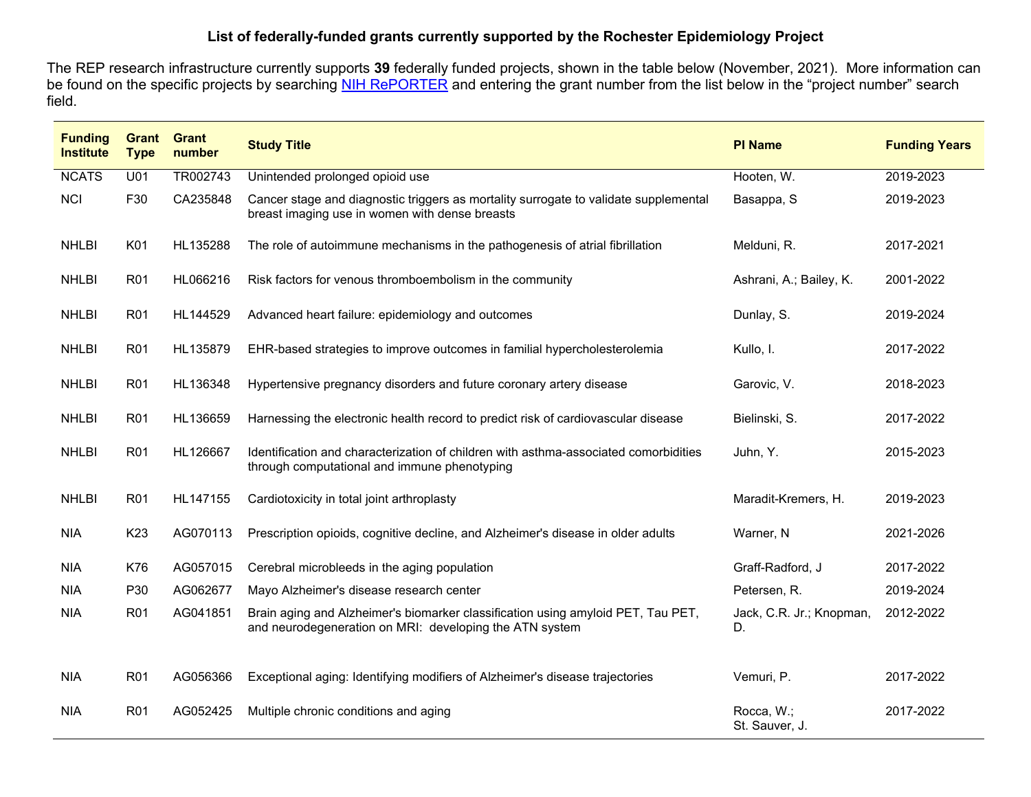## **List of federally-funded grants currently supported by the Rochester Epidemiology Project**

The REP research infrastructure currently supports **39** federally funded projects, shown in the table below (November, 2021). More information can be found on the specific projects by searching [NIH RePORTER](https://projectreporter.nih.gov/reporter.cfm) and entering the grant number from the list below in the "project number" search field.

| <b>Funding</b><br><b>Institute</b> | Grant<br><b>Type</b> | <b>Grant</b><br>number | <b>Study Title</b>                                                                                                                          | <b>PI Name</b>                 | <b>Funding Years</b> |
|------------------------------------|----------------------|------------------------|---------------------------------------------------------------------------------------------------------------------------------------------|--------------------------------|----------------------|
| <b>NCATS</b>                       | U01                  | TR002743               | Unintended prolonged opioid use                                                                                                             | Hooten, W.                     | 2019-2023            |
| <b>NCI</b>                         | F30                  | CA235848               | Cancer stage and diagnostic triggers as mortality surrogate to validate supplemental<br>breast imaging use in women with dense breasts      | Basappa, S                     | 2019-2023            |
| <b>NHLBI</b>                       | K01                  | HL135288               | The role of autoimmune mechanisms in the pathogenesis of atrial fibrillation                                                                | Melduni, R.                    | 2017-2021            |
| <b>NHLBI</b>                       | R <sub>01</sub>      | HL066216               | Risk factors for venous thromboembolism in the community                                                                                    | Ashrani, A.; Bailey, K.        | 2001-2022            |
| <b>NHLBI</b>                       | R <sub>01</sub>      | HL144529               | Advanced heart failure: epidemiology and outcomes                                                                                           | Dunlay, S.                     | 2019-2024            |
| <b>NHLBI</b>                       | R <sub>01</sub>      | HL135879               | EHR-based strategies to improve outcomes in familial hypercholesterolemia                                                                   | Kullo, I.                      | 2017-2022            |
| <b>NHLBI</b>                       | R <sub>0</sub> 1     | HL136348               | Hypertensive pregnancy disorders and future coronary artery disease                                                                         | Garovic, V.                    | 2018-2023            |
| <b>NHLBI</b>                       | R <sub>01</sub>      | HL136659               | Harnessing the electronic health record to predict risk of cardiovascular disease                                                           | Bielinski, S.                  | 2017-2022            |
| <b>NHLBI</b>                       | R <sub>01</sub>      | HL126667               | Identification and characterization of children with asthma-associated comorbidities<br>through computational and immune phenotyping        | Juhn, Y.                       | 2015-2023            |
| <b>NHLBI</b>                       | R <sub>01</sub>      | HL147155               | Cardiotoxicity in total joint arthroplasty                                                                                                  | Maradit-Kremers, H.            | 2019-2023            |
| <b>NIA</b>                         | K <sub>23</sub>      | AG070113               | Prescription opioids, cognitive decline, and Alzheimer's disease in older adults                                                            | Warner, N                      | 2021-2026            |
| <b>NIA</b>                         | K76                  | AG057015               | Cerebral microbleeds in the aging population                                                                                                | Graff-Radford, J               | 2017-2022            |
| <b>NIA</b>                         | P30                  | AG062677               | Mayo Alzheimer's disease research center                                                                                                    | Petersen, R.                   | 2019-2024            |
| <b>NIA</b>                         | R <sub>0</sub> 1     | AG041851               | Brain aging and Alzheimer's biomarker classification using amyloid PET, Tau PET,<br>and neurodegeneration on MRI: developing the ATN system | Jack, C.R. Jr.; Knopman,<br>D. | 2012-2022            |
| <b>NIA</b>                         | R <sub>01</sub>      | AG056366               | Exceptional aging: Identifying modifiers of Alzheimer's disease trajectories                                                                | Vemuri, P.                     | 2017-2022            |
| <b>NIA</b>                         | R <sub>01</sub>      | AG052425               | Multiple chronic conditions and aging                                                                                                       | Rocca, W.;<br>St. Sauver, J.   | 2017-2022            |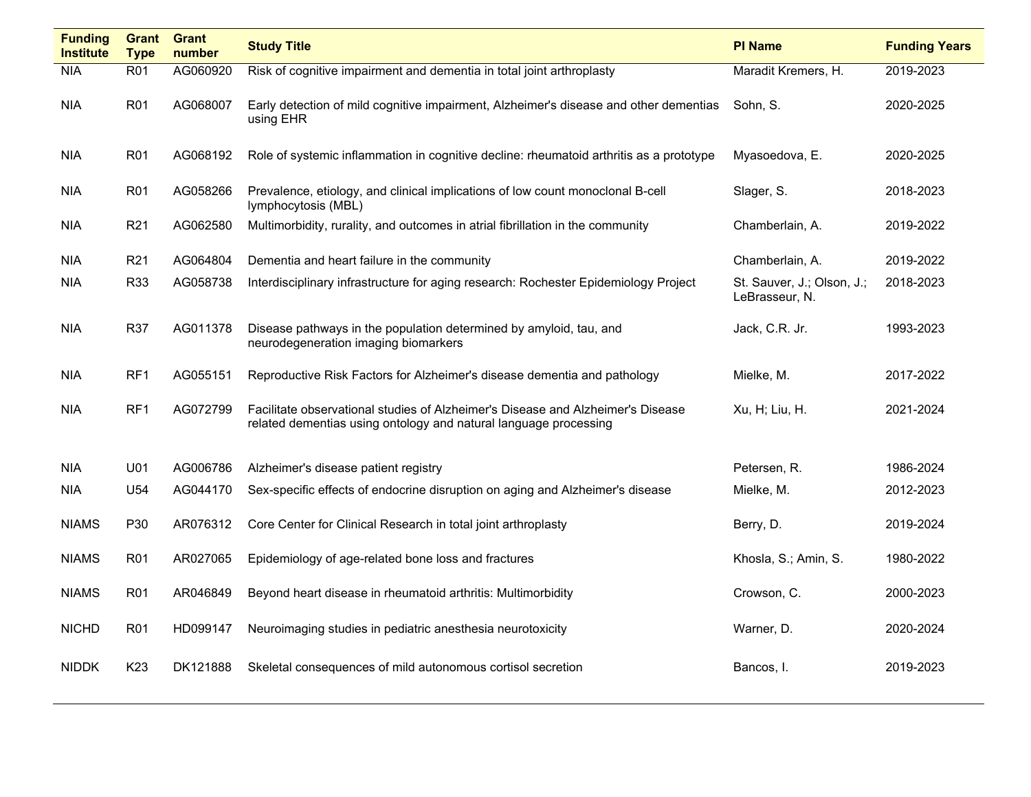| <b>Funding</b><br><b>Institute</b> | Grant<br><b>Type</b> | <b>Grant</b><br>number | <b>Study Title</b>                                                                                                                                  | <b>PI Name</b>                               | <b>Funding Years</b> |
|------------------------------------|----------------------|------------------------|-----------------------------------------------------------------------------------------------------------------------------------------------------|----------------------------------------------|----------------------|
| <b>NIA</b>                         | R <sub>01</sub>      | AG060920               | Risk of cognitive impairment and dementia in total joint arthroplasty                                                                               | Maradit Kremers, H.                          | 2019-2023            |
| <b>NIA</b>                         | <b>R01</b>           | AG068007               | Early detection of mild cognitive impairment, Alzheimer's disease and other dementias<br>using EHR                                                  | Sohn, S.                                     | 2020-2025            |
| NIA                                | R <sub>01</sub>      | AG068192               | Role of systemic inflammation in cognitive decline: rheumatoid arthritis as a prototype                                                             | Myasoedova, E.                               | 2020-2025            |
| NIA                                | R <sub>01</sub>      | AG058266               | Prevalence, etiology, and clinical implications of low count monoclonal B-cell<br>lymphocytosis (MBL)                                               | Slager, S.                                   | 2018-2023            |
| <b>NIA</b>                         | R <sub>21</sub>      | AG062580               | Multimorbidity, rurality, and outcomes in atrial fibrillation in the community                                                                      | Chamberlain, A.                              | 2019-2022            |
| <b>NIA</b>                         | R <sub>21</sub>      | AG064804               | Dementia and heart failure in the community                                                                                                         | Chamberlain, A.                              | 2019-2022            |
| <b>NIA</b>                         | R33                  | AG058738               | Interdisciplinary infrastructure for aging research: Rochester Epidemiology Project                                                                 | St. Sauver, J.; Olson, J.;<br>LeBrasseur, N. | 2018-2023            |
| NIA                                | R37                  | AG011378               | Disease pathways in the population determined by amyloid, tau, and<br>neurodegeneration imaging biomarkers                                          | Jack, C.R. Jr.                               | 1993-2023            |
| <b>NIA</b>                         | RF1                  | AG055151               | Reproductive Risk Factors for Alzheimer's disease dementia and pathology                                                                            | Mielke, M.                                   | 2017-2022            |
| NIA                                | RF1                  | AG072799               | Facilitate observational studies of Alzheimer's Disease and Alzheimer's Disease<br>related dementias using ontology and natural language processing | Xu, H; Liu, H.                               | 2021-2024            |
| NIA                                | U01                  | AG006786               | Alzheimer's disease patient registry                                                                                                                | Petersen, R.                                 | 1986-2024            |
| <b>NIA</b>                         | U54                  | AG044170               | Sex-specific effects of endocrine disruption on aging and Alzheimer's disease                                                                       | Mielke, M.                                   | 2012-2023            |
| <b>NIAMS</b>                       | P30                  | AR076312               | Core Center for Clinical Research in total joint arthroplasty                                                                                       | Berry, D.                                    | 2019-2024            |
| <b>NIAMS</b>                       | R <sub>01</sub>      | AR027065               | Epidemiology of age-related bone loss and fractures                                                                                                 | Khosla, S.; Amin, S.                         | 1980-2022            |
| <b>NIAMS</b>                       | R <sub>01</sub>      | AR046849               | Beyond heart disease in rheumatoid arthritis: Multimorbidity                                                                                        | Crowson, C.                                  | 2000-2023            |
| <b>NICHD</b>                       | R <sub>01</sub>      | HD099147               | Neuroimaging studies in pediatric anesthesia neurotoxicity                                                                                          | Warner, D.                                   | 2020-2024            |
| <b>NIDDK</b>                       | K <sub>23</sub>      | DK121888               | Skeletal consequences of mild autonomous cortisol secretion                                                                                         | Bancos, I.                                   | 2019-2023            |